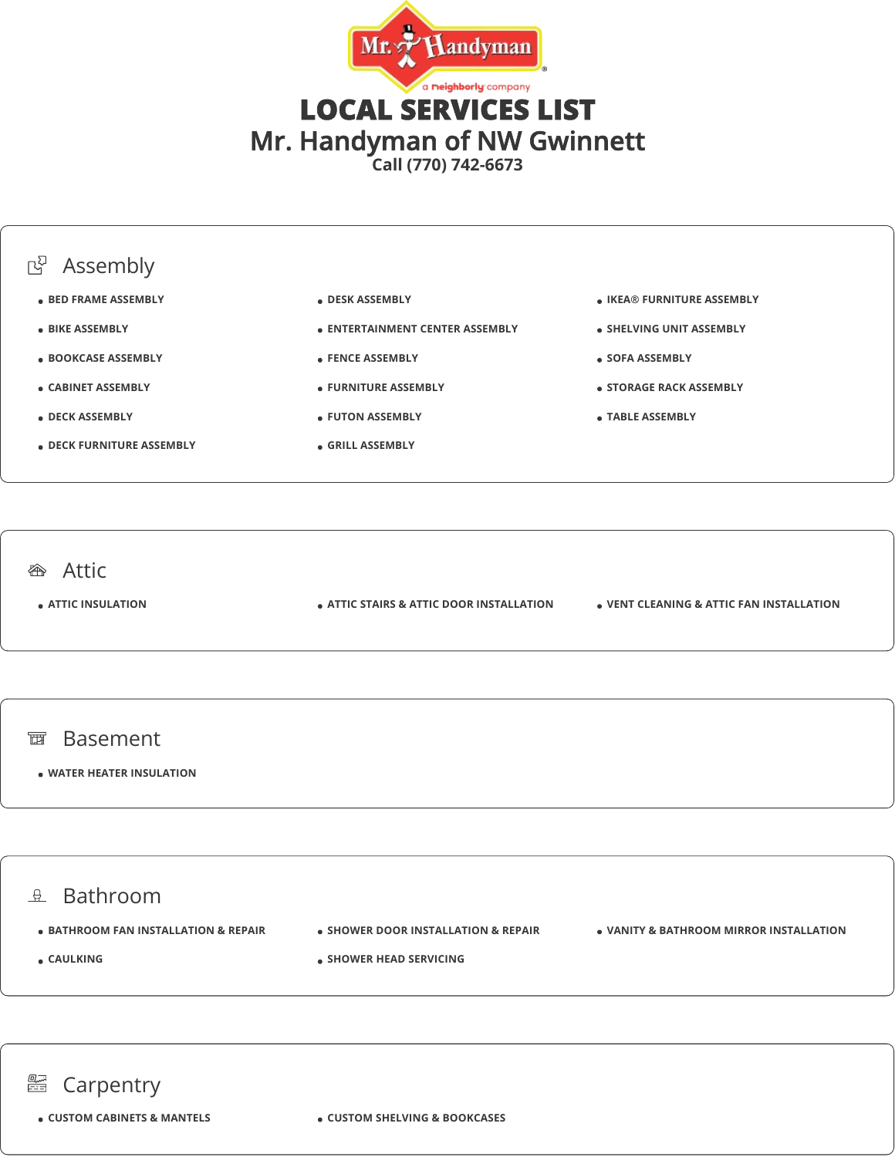



面 Basement

**WATER HEATER INSULATION**

## $\theta$  Bathroom

- $\bullet$  **BATHROOM FAN INSTALLATION & REPAIR**
- **SHOWER DOOR INSTALLATION & REPAIR**

**SHOWER HEAD SERVICING** 

**VANITY & BATHROOM MIRROR INSTALLATION**

**CAULKING**

## **■ Carpentry**

**CUSTOM CABINETS & MANTELS CUSTOM SHELVING & BOOKCASES**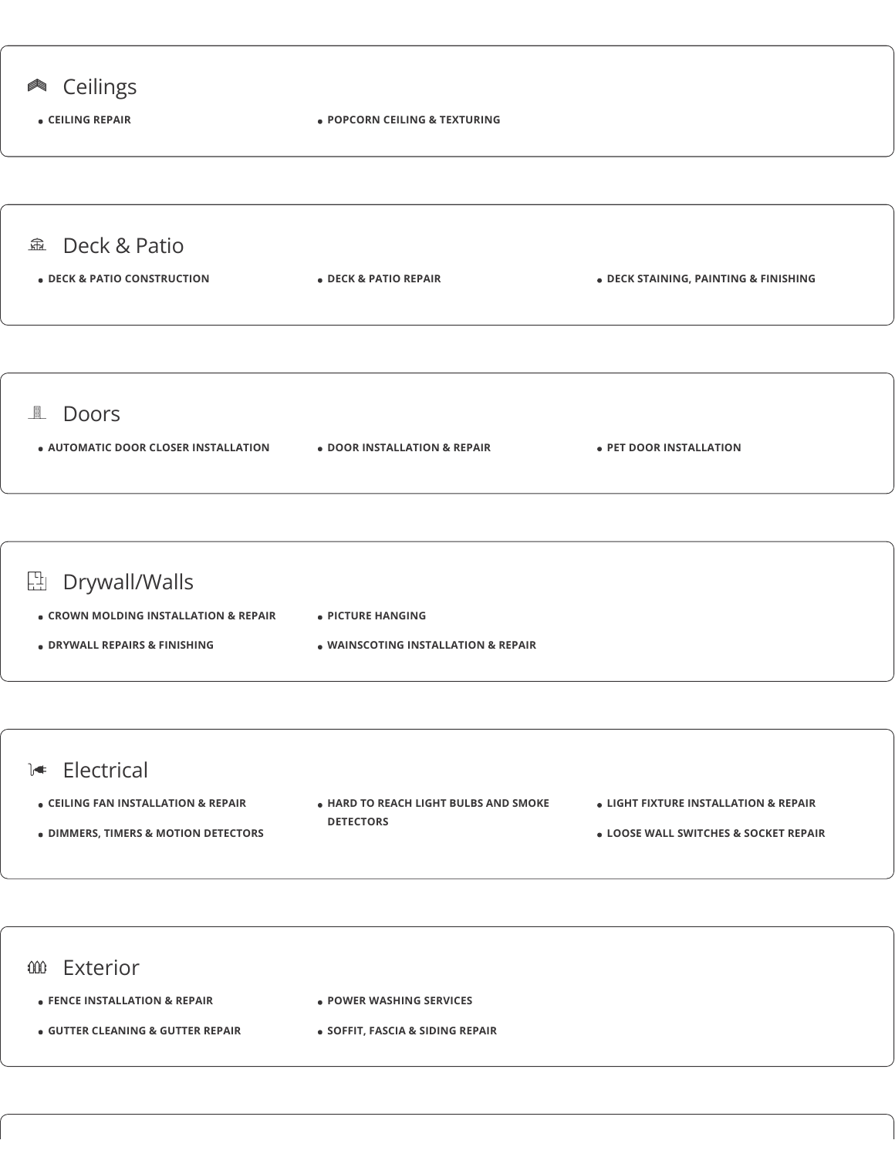



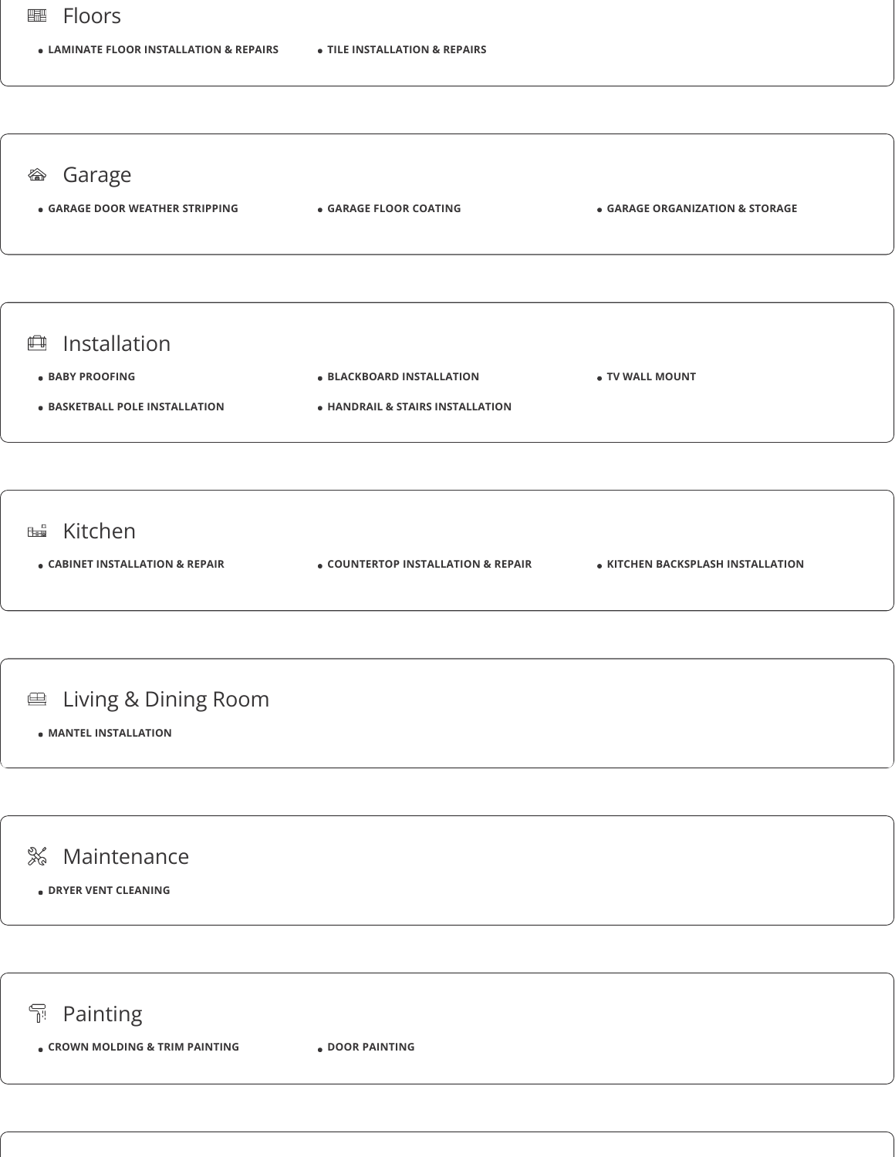